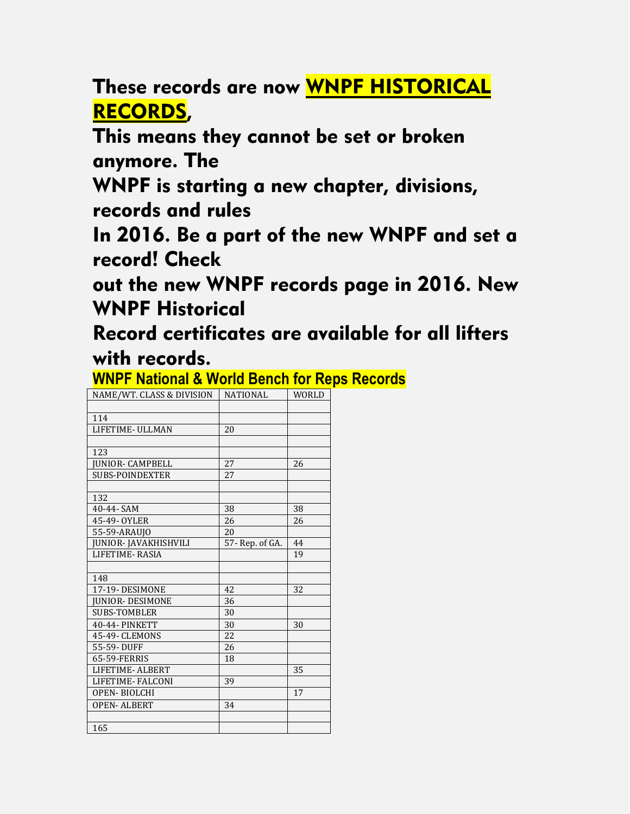These records are now WNPF HISTORICAL RECORDS,

This means they cannot be set or broken anymore. The

WNPF is starting a new chapter, divisions, records and rules

In 2016. Be a part of the new WNPF and set a record! Check

out the new WNPF records page in 2016. New WNPF Historical

Record certificates are available for all lifters with records.

## **WNPF National & World Bench for Reps Records**

| NAME/WT. CLASS & DIVISION   | <b>NATIONAL</b> | <b>WORLD</b> |
|-----------------------------|-----------------|--------------|
|                             |                 |              |
| 114                         |                 |              |
| LIFETIME- ULLMAN            | 20              |              |
|                             |                 |              |
| 123                         |                 |              |
| <b>IUNIOR- CAMPBELL</b>     | 27              | 26           |
| SUBS-POINDEXTER             | 27              |              |
|                             |                 |              |
| 132                         |                 |              |
| 40-44- SAM                  | 38              | 38           |
| 45-49- OYLER                | 26              | 26           |
| 55-59-ARAUJO                | 20              |              |
| <b>JUNIOR-JAVAKHISHVILI</b> | 57-Rep. of GA.  | 44           |
| LIFETIME-RASIA              |                 | 19           |
|                             |                 |              |
| 148                         |                 |              |
| 17-19-DESIMONE              | 42              | 32           |
| <b>IUNIOR- DESIMONE</b>     | 36              |              |
| <b>SUBS-TOMBLER</b>         | 30              |              |
| 40-44- PINKETT              | 30              | 30           |
| 45-49- CLEMONS              | 22              |              |
| 55-59-DUFF                  | 26              |              |
| 65-59-FERRIS                | 18              |              |
| LIFETIME-ALBERT             |                 | 35           |
| LIFETIME-FALCONI            | 39              |              |
| <b>OPEN-BIOLCHI</b>         |                 | 17           |
| <b>OPEN-ALBERT</b>          | 34              |              |
|                             |                 |              |
| 165                         |                 |              |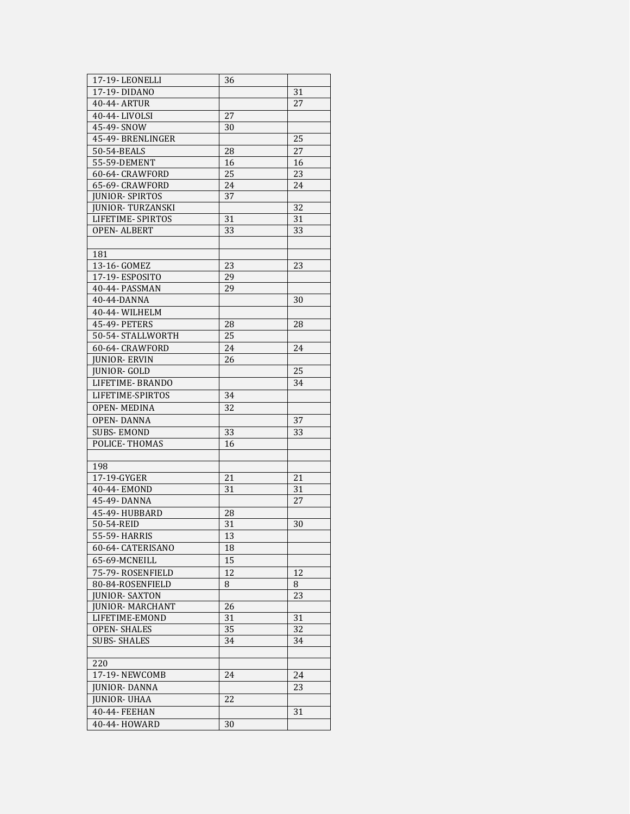| 17-19-LEONELLI          | 36 |    |
|-------------------------|----|----|
| 17-19-DIDANO            |    | 31 |
| 40-44- ARTUR            |    | 27 |
| 40-44-LIVOLSI           | 27 |    |
| 45-49- SNOW             | 30 |    |
| 45-49- BRENLINGER       |    | 25 |
| 50-54-BEALS             | 28 | 27 |
| 55-59-DEMENT            | 16 | 16 |
| 60-64- CRAWFORD         | 25 | 23 |
| 65-69- CRAWFORD         | 24 | 24 |
| <b>JUNIOR-SPIRTOS</b>   | 37 |    |
| <b>JUNIOR-TURZANSKI</b> |    | 32 |
| LIFETIME- SPIRTOS       | 31 | 31 |
| OPEN- ALBERT            | 33 | 33 |
|                         |    |    |
| 181                     |    |    |
| 13-16- GOMEZ            | 23 | 23 |
| 17-19-ESPOSITO          | 29 |    |
| 40-44- PASSMAN          | 29 |    |
| 40-44-DANNA             |    | 30 |
| 40-44- WILHELM          |    |    |
| 45-49- PETERS           | 28 | 28 |
| 50-54- STALLWORTH       | 25 |    |
| 60-64- CRAWFORD         | 24 | 24 |
| JUNIOR- ERVIN           | 26 |    |
| JUNIOR- GOLD            |    | 25 |
| LIFETIME- BRANDO        |    | 34 |
| LIFETIME-SPIRTOS        | 34 |    |
| <b>OPEN-MEDINA</b>      | 32 |    |
| <b>OPEN-DANNA</b>       |    | 37 |
| <b>SUBS-EMOND</b>       | 33 | 33 |
| POLICE-THOMAS           | 16 |    |
|                         |    |    |
| 198                     |    |    |
| 17-19-GYGER             | 21 | 21 |
| 40-44- EMOND            | 31 | 31 |
| 45-49-DANNA             |    | 27 |
| 45-49- HUBBARD          | 28 |    |
| 50-54-REID              | 31 | 30 |
| 55-59- HARRIS           | 13 |    |
| 60-64- CATERISANO       | 18 |    |
| 65-69-MCNEILL           | 15 |    |
| 75-79-ROSENFIELD        | 12 | 12 |
| 80-84-ROSENFIELD        | 8  | 8  |
| <b>JUNIOR- SAXTON</b>   |    | 23 |
| <b>JUNIOR- MARCHANT</b> | 26 |    |
| LIFETIME-EMOND          | 31 | 31 |
| <b>OPEN-SHALES</b>      | 35 | 32 |
| <b>SUBS-SHALES</b>      | 34 | 34 |
|                         |    |    |
| 220                     |    |    |
| 17-19- NEWCOMB          | 24 | 24 |
| <b>JUNIOR-DANNA</b>     |    | 23 |
| <b>JUNIOR- UHAA</b>     | 22 |    |
| 40-44- FEEHAN           |    | 31 |
| 40-44- HOWARD           | 30 |    |
|                         |    |    |